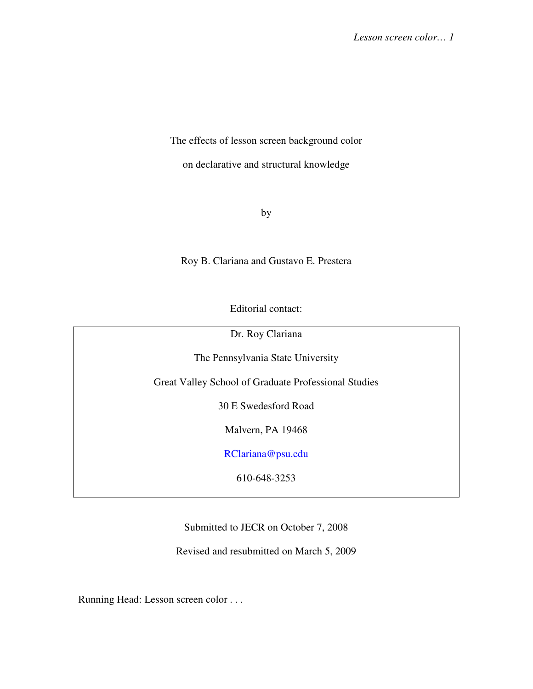The effects of lesson screen background color

on declarative and structural knowledge

by

Roy B. Clariana and Gustavo E. Prestera

Editorial contact:

Dr. Roy Clariana

The Pennsylvania State University

Great Valley School of Graduate Professional Studies

30 E Swedesford Road

Malvern, PA 19468

RClariana@psu.edu

610-648-3253

Submitted to JECR on October 7, 2008

Revised and resubmitted on March 5, 2009

Running Head: Lesson screen color . . .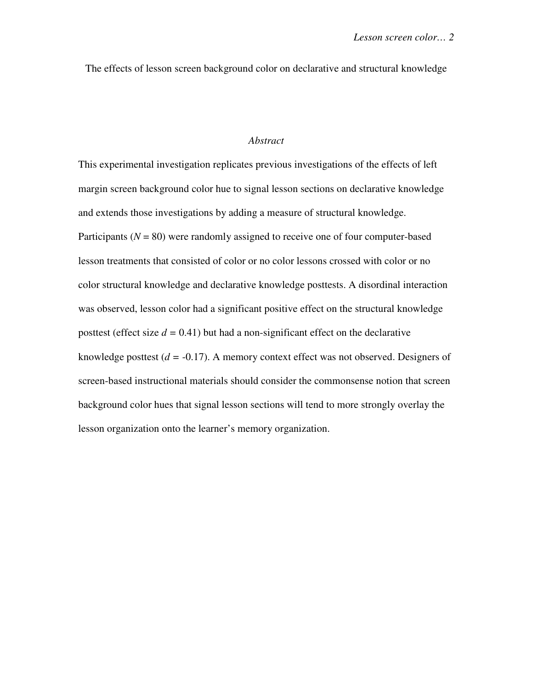The effects of lesson screen background color on declarative and structural knowledge

# *Abstract*

This experimental investigation replicates previous investigations of the effects of left margin screen background color hue to signal lesson sections on declarative knowledge and extends those investigations by adding a measure of structural knowledge. Participants  $(N = 80)$  were randomly assigned to receive one of four computer-based lesson treatments that consisted of color or no color lessons crossed with color or no color structural knowledge and declarative knowledge posttests. A disordinal interaction was observed, lesson color had a significant positive effect on the structural knowledge posttest (effect size  $d = 0.41$ ) but had a non-significant effect on the declarative knowledge posttest (*d =* -0.17). A memory context effect was not observed. Designers of screen-based instructional materials should consider the commonsense notion that screen background color hues that signal lesson sections will tend to more strongly overlay the lesson organization onto the learner's memory organization.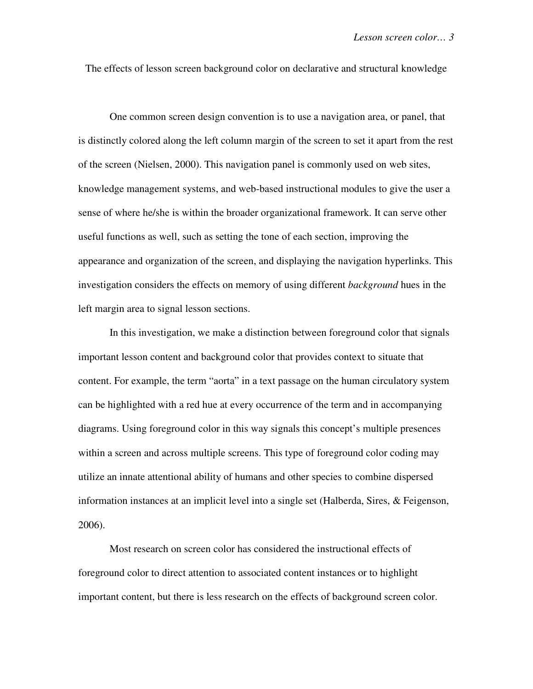The effects of lesson screen background color on declarative and structural knowledge

One common screen design convention is to use a navigation area, or panel, that is distinctly colored along the left column margin of the screen to set it apart from the rest of the screen (Nielsen, 2000). This navigation panel is commonly used on web sites, knowledge management systems, and web-based instructional modules to give the user a sense of where he/she is within the broader organizational framework. It can serve other useful functions as well, such as setting the tone of each section, improving the appearance and organization of the screen, and displaying the navigation hyperlinks. This investigation considers the effects on memory of using different *background* hues in the left margin area to signal lesson sections.

In this investigation, we make a distinction between foreground color that signals important lesson content and background color that provides context to situate that content. For example, the term "aorta" in a text passage on the human circulatory system can be highlighted with a red hue at every occurrence of the term and in accompanying diagrams. Using foreground color in this way signals this concept's multiple presences within a screen and across multiple screens. This type of foreground color coding may utilize an innate attentional ability of humans and other species to combine dispersed information instances at an implicit level into a single set (Halberda, Sires, & Feigenson, 2006).

Most research on screen color has considered the instructional effects of foreground color to direct attention to associated content instances or to highlight important content, but there is less research on the effects of background screen color.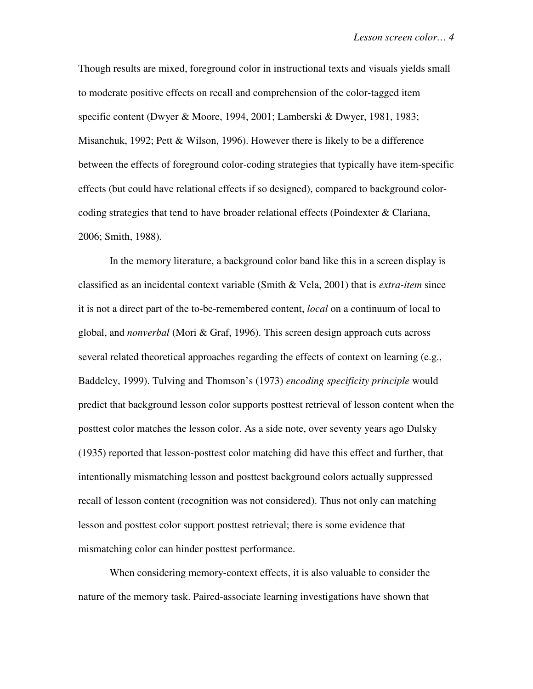Though results are mixed, foreground color in instructional texts and visuals yields small to moderate positive effects on recall and comprehension of the color-tagged item specific content (Dwyer & Moore, 1994, 2001; Lamberski & Dwyer, 1981, 1983; Misanchuk, 1992; Pett & Wilson, 1996). However there is likely to be a difference between the effects of foreground color-coding strategies that typically have item-specific effects (but could have relational effects if so designed), compared to background colorcoding strategies that tend to have broader relational effects (Poindexter & Clariana, 2006; Smith, 1988).

In the memory literature, a background color band like this in a screen display is classified as an incidental context variable (Smith & Vela, 2001) that is *extra-item* since it is not a direct part of the to-be-remembered content, *local* on a continuum of local to global, and *nonverbal* (Mori & Graf, 1996). This screen design approach cuts across several related theoretical approaches regarding the effects of context on learning (e.g., Baddeley, 1999). Tulving and Thomson's (1973) *encoding specificity principle* would predict that background lesson color supports posttest retrieval of lesson content when the posttest color matches the lesson color. As a side note, over seventy years ago Dulsky (1935) reported that lesson-posttest color matching did have this effect and further, that intentionally mismatching lesson and posttest background colors actually suppressed recall of lesson content (recognition was not considered). Thus not only can matching lesson and posttest color support posttest retrieval; there is some evidence that mismatching color can hinder posttest performance.

When considering memory-context effects, it is also valuable to consider the nature of the memory task. Paired-associate learning investigations have shown that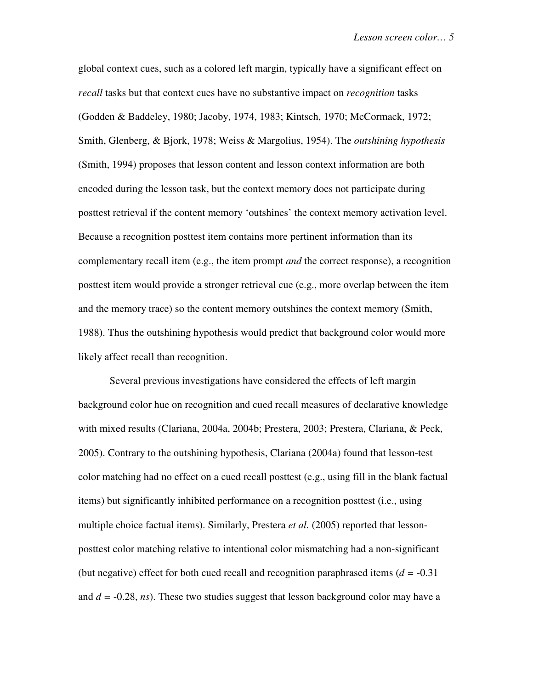global context cues, such as a colored left margin, typically have a significant effect on *recall* tasks but that context cues have no substantive impact on *recognition* tasks (Godden & Baddeley, 1980; Jacoby, 1974, 1983; Kintsch, 1970; McCormack, 1972; Smith, Glenberg, & Bjork, 1978; Weiss & Margolius, 1954). The *outshining hypothesis* (Smith, 1994) proposes that lesson content and lesson context information are both encoded during the lesson task, but the context memory does not participate during posttest retrieval if the content memory 'outshines' the context memory activation level. Because a recognition posttest item contains more pertinent information than its complementary recall item (e.g., the item prompt *and* the correct response), a recognition posttest item would provide a stronger retrieval cue (e.g., more overlap between the item and the memory trace) so the content memory outshines the context memory (Smith, 1988). Thus the outshining hypothesis would predict that background color would more likely affect recall than recognition.

Several previous investigations have considered the effects of left margin background color hue on recognition and cued recall measures of declarative knowledge with mixed results (Clariana, 2004a, 2004b; Prestera, 2003; Prestera, Clariana, & Peck, 2005). Contrary to the outshining hypothesis, Clariana (2004a) found that lesson-test color matching had no effect on a cued recall posttest (e.g., using fill in the blank factual items) but significantly inhibited performance on a recognition posttest (i.e., using multiple choice factual items). Similarly, Prestera *et al.* (2005) reported that lessonposttest color matching relative to intentional color mismatching had a non-significant (but negative) effect for both cued recall and recognition paraphrased items (*d =* -0.31 and *d =* -0.28, *ns*). These two studies suggest that lesson background color may have a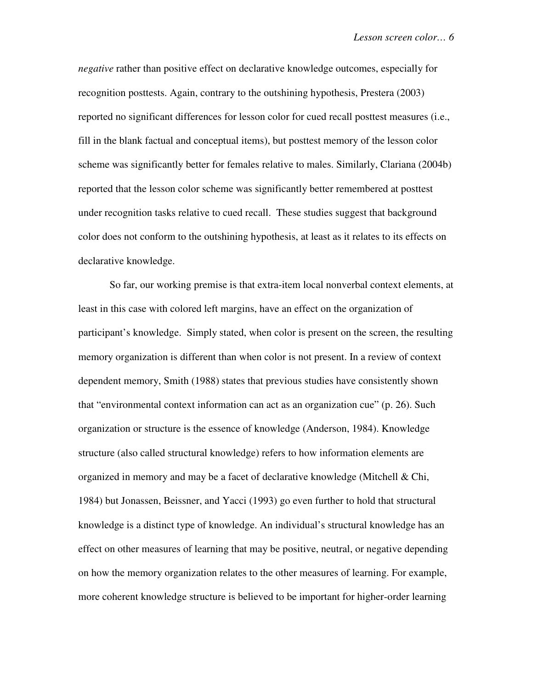*negative* rather than positive effect on declarative knowledge outcomes, especially for recognition posttests. Again, contrary to the outshining hypothesis, Prestera (2003) reported no significant differences for lesson color for cued recall posttest measures (i.e., fill in the blank factual and conceptual items), but posttest memory of the lesson color scheme was significantly better for females relative to males. Similarly, Clariana (2004b) reported that the lesson color scheme was significantly better remembered at posttest under recognition tasks relative to cued recall. These studies suggest that background color does not conform to the outshining hypothesis, at least as it relates to its effects on declarative knowledge.

So far, our working premise is that extra-item local nonverbal context elements, at least in this case with colored left margins, have an effect on the organization of participant's knowledge. Simply stated, when color is present on the screen, the resulting memory organization is different than when color is not present. In a review of context dependent memory, Smith (1988) states that previous studies have consistently shown that "environmental context information can act as an organization cue" (p. 26). Such organization or structure is the essence of knowledge (Anderson, 1984). Knowledge structure (also called structural knowledge) refers to how information elements are organized in memory and may be a facet of declarative knowledge (Mitchell & Chi, 1984) but Jonassen, Beissner, and Yacci (1993) go even further to hold that structural knowledge is a distinct type of knowledge. An individual's structural knowledge has an effect on other measures of learning that may be positive, neutral, or negative depending on how the memory organization relates to the other measures of learning. For example, more coherent knowledge structure is believed to be important for higher-order learning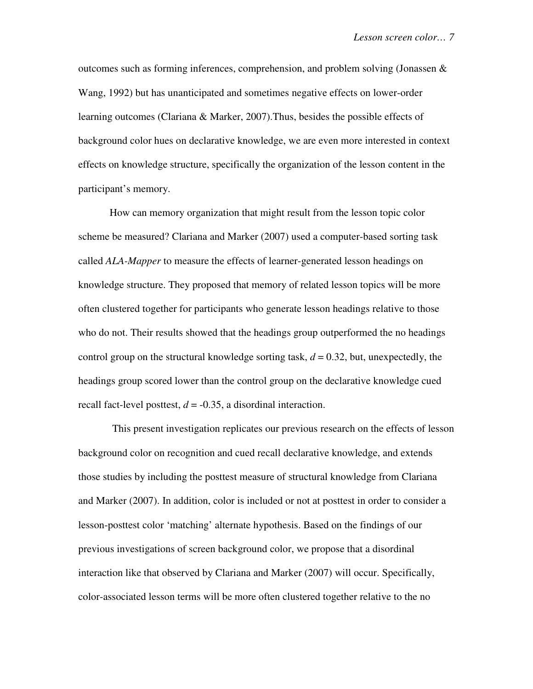outcomes such as forming inferences, comprehension, and problem solving (Jonassen  $\&$ Wang, 1992) but has unanticipated and sometimes negative effects on lower-order learning outcomes (Clariana & Marker, 2007).Thus, besides the possible effects of background color hues on declarative knowledge, we are even more interested in context effects on knowledge structure, specifically the organization of the lesson content in the participant's memory.

How can memory organization that might result from the lesson topic color scheme be measured? Clariana and Marker (2007) used a computer-based sorting task called *ALA-Mapper* to measure the effects of learner-generated lesson headings on knowledge structure. They proposed that memory of related lesson topics will be more often clustered together for participants who generate lesson headings relative to those who do not. Their results showed that the headings group outperformed the no headings control group on the structural knowledge sorting task,  $d = 0.32$ , but, unexpectedly, the headings group scored lower than the control group on the declarative knowledge cued recall fact-level posttest,  $d = -0.35$ , a disordinal interaction.

 This present investigation replicates our previous research on the effects of lesson background color on recognition and cued recall declarative knowledge, and extends those studies by including the posttest measure of structural knowledge from Clariana and Marker (2007). In addition, color is included or not at posttest in order to consider a lesson-posttest color 'matching' alternate hypothesis. Based on the findings of our previous investigations of screen background color, we propose that a disordinal interaction like that observed by Clariana and Marker (2007) will occur. Specifically, color-associated lesson terms will be more often clustered together relative to the no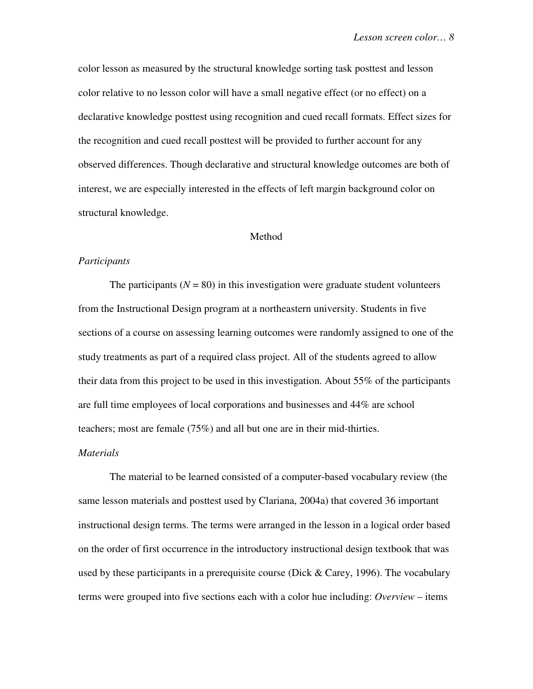color lesson as measured by the structural knowledge sorting task posttest and lesson color relative to no lesson color will have a small negative effect (or no effect) on a declarative knowledge posttest using recognition and cued recall formats. Effect sizes for the recognition and cued recall posttest will be provided to further account for any observed differences. Though declarative and structural knowledge outcomes are both of interest, we are especially interested in the effects of left margin background color on structural knowledge.

# Method

### *Participants*

The participants  $(N = 80)$  in this investigation were graduate student volunteers from the Instructional Design program at a northeastern university. Students in five sections of a course on assessing learning outcomes were randomly assigned to one of the study treatments as part of a required class project. All of the students agreed to allow their data from this project to be used in this investigation. About 55% of the participants are full time employees of local corporations and businesses and 44% are school teachers; most are female (75%) and all but one are in their mid-thirties.

### *Materials*

The material to be learned consisted of a computer-based vocabulary review (the same lesson materials and posttest used by Clariana, 2004a) that covered 36 important instructional design terms. The terms were arranged in the lesson in a logical order based on the order of first occurrence in the introductory instructional design textbook that was used by these participants in a prerequisite course (Dick & Carey, 1996). The vocabulary terms were grouped into five sections each with a color hue including: *Overview* – items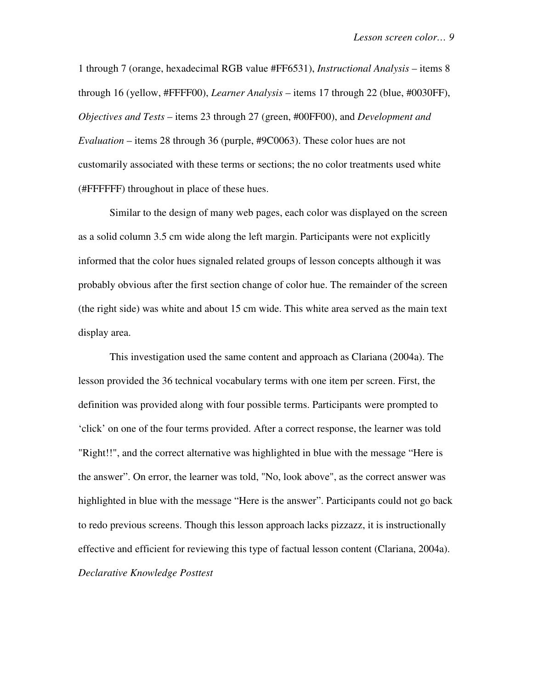1 through 7 (orange, hexadecimal RGB value #FF6531), *Instructional Analysis* – items 8 through 16 (yellow, #FFFF00), *Learner Analysis* – items 17 through 22 (blue, #0030FF), *Objectives and Tests* – items 23 through 27 (green, #00FF00), and *Development and Evaluation* – items 28 through 36 (purple, #9C0063). These color hues are not customarily associated with these terms or sections; the no color treatments used white (#FFFFFF) throughout in place of these hues.

Similar to the design of many web pages, each color was displayed on the screen as a solid column 3.5 cm wide along the left margin. Participants were not explicitly informed that the color hues signaled related groups of lesson concepts although it was probably obvious after the first section change of color hue. The remainder of the screen (the right side) was white and about 15 cm wide. This white area served as the main text display area.

This investigation used the same content and approach as Clariana (2004a). The lesson provided the 36 technical vocabulary terms with one item per screen. First, the definition was provided along with four possible terms. Participants were prompted to 'click' on one of the four terms provided. After a correct response, the learner was told "Right!!", and the correct alternative was highlighted in blue with the message "Here is the answer". On error, the learner was told, "No, look above", as the correct answer was highlighted in blue with the message "Here is the answer". Participants could not go back to redo previous screens. Though this lesson approach lacks pizzazz, it is instructionally effective and efficient for reviewing this type of factual lesson content (Clariana, 2004a). *Declarative Knowledge Posttest*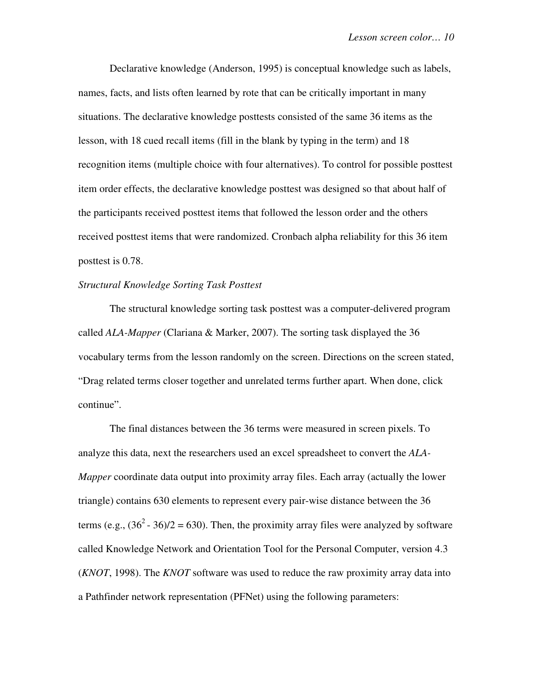Declarative knowledge (Anderson, 1995) is conceptual knowledge such as labels, names, facts, and lists often learned by rote that can be critically important in many situations. The declarative knowledge posttests consisted of the same 36 items as the lesson, with 18 cued recall items (fill in the blank by typing in the term) and 18 recognition items (multiple choice with four alternatives). To control for possible posttest item order effects, the declarative knowledge posttest was designed so that about half of the participants received posttest items that followed the lesson order and the others received posttest items that were randomized. Cronbach alpha reliability for this 36 item posttest is 0.78.

# *Structural Knowledge Sorting Task Posttest*

The structural knowledge sorting task posttest was a computer-delivered program called *ALA-Mapper* (Clariana & Marker, 2007). The sorting task displayed the 36 vocabulary terms from the lesson randomly on the screen. Directions on the screen stated, "Drag related terms closer together and unrelated terms further apart. When done, click continue".

The final distances between the 36 terms were measured in screen pixels. To analyze this data, next the researchers used an excel spreadsheet to convert the *ALA-Mapper* coordinate data output into proximity array files. Each array (actually the lower triangle) contains 630 elements to represent every pair-wise distance between the 36 terms (e.g.,  $(36^2 - 36)/2 = 630$ ). Then, the proximity array files were analyzed by software called Knowledge Network and Orientation Tool for the Personal Computer, version 4.3 (*KNOT*, 1998). The *KNOT* software was used to reduce the raw proximity array data into a Pathfinder network representation (PFNet) using the following parameters: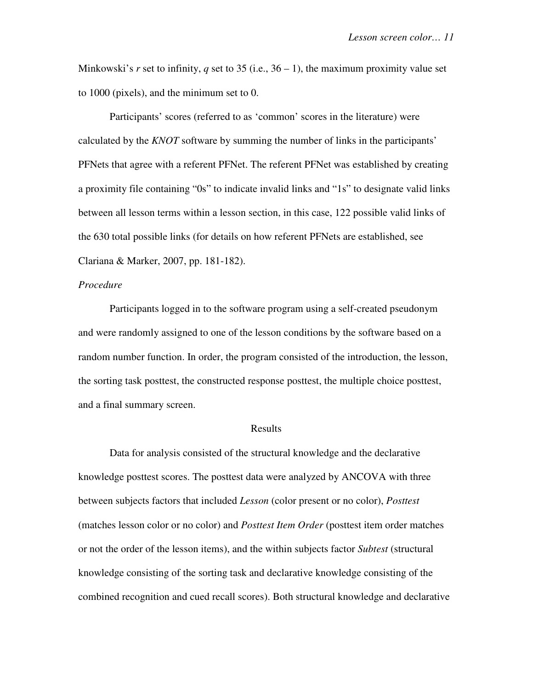Minkowski's *r* set to infinity, *q* set to 35 (i.e.,  $36 - 1$ ), the maximum proximity value set to 1000 (pixels), and the minimum set to 0.

Participants' scores (referred to as 'common' scores in the literature) were calculated by the *KNOT* software by summing the number of links in the participants' PFNets that agree with a referent PFNet. The referent PFNet was established by creating a proximity file containing "0s" to indicate invalid links and "1s" to designate valid links between all lesson terms within a lesson section, in this case, 122 possible valid links of the 630 total possible links (for details on how referent PFNets are established, see Clariana & Marker, 2007, pp. 181-182).

# *Procedure*

Participants logged in to the software program using a self-created pseudonym and were randomly assigned to one of the lesson conditions by the software based on a random number function. In order, the program consisted of the introduction, the lesson, the sorting task posttest, the constructed response posttest, the multiple choice posttest, and a final summary screen.

## Results

Data for analysis consisted of the structural knowledge and the declarative knowledge posttest scores. The posttest data were analyzed by ANCOVA with three between subjects factors that included *Lesson* (color present or no color), *Posttest* (matches lesson color or no color) and *Posttest Item Order* (posttest item order matches or not the order of the lesson items), and the within subjects factor *Subtest* (structural knowledge consisting of the sorting task and declarative knowledge consisting of the combined recognition and cued recall scores). Both structural knowledge and declarative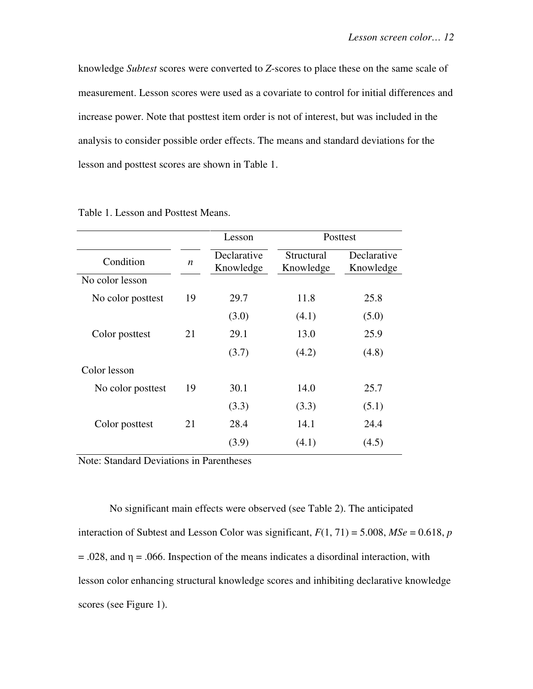knowledge *Subtest* scores were converted to *Z*-scores to place these on the same scale of measurement. Lesson scores were used as a covariate to control for initial differences and increase power. Note that posttest item order is not of interest, but was included in the analysis to consider possible order effects. The means and standard deviations for the lesson and posttest scores are shown in Table 1.

|                   |                  | Lesson                   | Posttest                |                          |
|-------------------|------------------|--------------------------|-------------------------|--------------------------|
| Condition         | $\boldsymbol{n}$ | Declarative<br>Knowledge | Structural<br>Knowledge | Declarative<br>Knowledge |
| No color lesson   |                  |                          |                         |                          |
| No color posttest | 19               | 29.7                     | 11.8                    | 25.8                     |
|                   |                  | (3.0)                    | (4.1)                   | (5.0)                    |
| Color posttest    | 21               | 29.1                     | 13.0                    | 25.9                     |
|                   |                  | (3.7)                    | (4.2)                   | (4.8)                    |
| Color lesson      |                  |                          |                         |                          |
| No color posttest | 19               | 30.1                     | 14.0                    | 25.7                     |
|                   |                  | (3.3)                    | (3.3)                   | (5.1)                    |
| Color posttest    | 21               | 28.4                     | 14.1                    | 24.4                     |
|                   |                  | (3.9)                    | (4.1)                   | (4.5)                    |

Table 1. Lesson and Posttest Means.

Note: Standard Deviations in Parentheses

No significant main effects were observed (see Table 2). The anticipated interaction of Subtest and Lesson Color was significant,  $F(1, 71) = 5.008$ ,  $MSe = 0.618$ , *p*  $= .028$ , and  $\eta = .066$ . Inspection of the means indicates a disordinal interaction, with lesson color enhancing structural knowledge scores and inhibiting declarative knowledge scores (see Figure 1).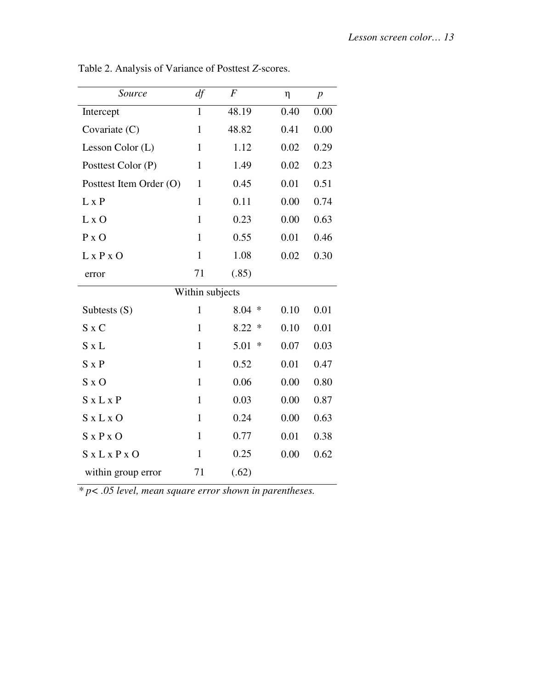| Source                  | df           | $\boldsymbol{F}$ | η    | $\boldsymbol{p}$ |  |  |  |
|-------------------------|--------------|------------------|------|------------------|--|--|--|
| Intercept               | $\mathbf{1}$ | 48.19            | 0.40 | 0.00             |  |  |  |
| Covariate (C)           | $\mathbf{1}$ | 48.82            | 0.41 | 0.00             |  |  |  |
| Lesson Color (L)        | $\mathbf{1}$ | 1.12             | 0.02 | 0.29             |  |  |  |
| Posttest Color (P)      | 1            | 1.49             | 0.02 | 0.23             |  |  |  |
| Posttest Item Order (O) | $\mathbf{1}$ | 0.45             | 0.01 | 0.51             |  |  |  |
| $L \times P$            | $\mathbf{1}$ | 0.11             | 0.00 | 0.74             |  |  |  |
| L x O                   | $\mathbf{1}$ | 0.23             | 0.00 | 0.63             |  |  |  |
| P X O                   | $\mathbf{1}$ | 0.55             | 0.01 | 0.46             |  |  |  |
| L x P x O               | $\mathbf{1}$ | 1.08             | 0.02 | 0.30             |  |  |  |
| error                   | 71           | (.85)            |      |                  |  |  |  |
| Within subjects         |              |                  |      |                  |  |  |  |
| Subtests $(S)$          | $\mathbf{1}$ | 8.04<br>∗        | 0.10 | 0.01             |  |  |  |
| S x C                   | $\mathbf{1}$ | 8.22<br>∗        | 0.10 | 0.01             |  |  |  |
| S x L                   | 1            | 5.01<br>∗        | 0.07 | 0.03             |  |  |  |
| $S \times P$            | $\mathbf{1}$ | 0.52             | 0.01 | 0.47             |  |  |  |
| $S \times O$            | $\mathbf{1}$ | 0.06             | 0.00 | 0.80             |  |  |  |
| $S \times L \times P$   | $\mathbf{1}$ | 0.03             | 0.00 | 0.87             |  |  |  |
| $S$ x L x O             | $\mathbf{1}$ | 0.24             | 0.00 | 0.63             |  |  |  |
| $S \times P \times O$   | $\mathbf{1}$ | 0.77             | 0.01 | 0.38             |  |  |  |
| SxLxPxO                 | $\mathbf{1}$ | 0.25             | 0.00 | 0.62             |  |  |  |
| within group error      | 71           | (.62)            |      |                  |  |  |  |

Table 2. Analysis of Variance of Posttest *Z*-scores.

*\* p< .05 level, mean square error shown in parentheses.*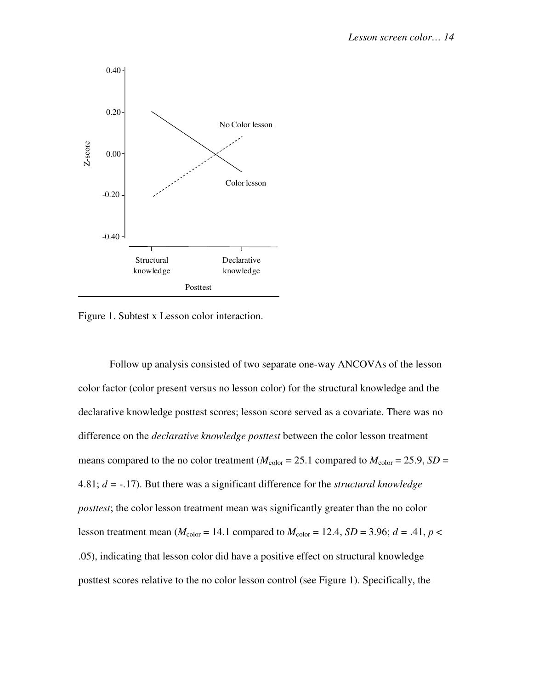

Figure 1. Subtest x Lesson color interaction.

Follow up analysis consisted of two separate one-way ANCOVAs of the lesson color factor (color present versus no lesson color) for the structural knowledge and the declarative knowledge posttest scores; lesson score served as a covariate. There was no difference on the *declarative knowledge posttest* between the color lesson treatment means compared to the no color treatment ( $M_{\text{color}} = 25.1$  compared to  $M_{\text{color}} = 25.9$ , *SD* = 4.81; *d =* -.17). But there was a significant difference for the *structural knowledge posttest*; the color lesson treatment mean was significantly greater than the no color lesson treatment mean ( $M_{\text{color}} = 14.1$  compared to  $M_{\text{color}} = 12.4$ ,  $SD = 3.96$ ;  $d = .41$ ,  $p <$ .05), indicating that lesson color did have a positive effect on structural knowledge posttest scores relative to the no color lesson control (see Figure 1). Specifically, the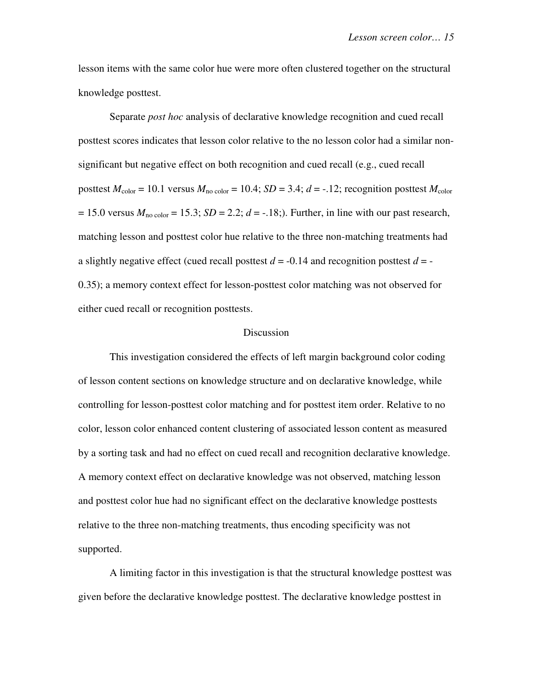lesson items with the same color hue were more often clustered together on the structural knowledge posttest.

Separate *post hoc* analysis of declarative knowledge recognition and cued recall posttest scores indicates that lesson color relative to the no lesson color had a similar nonsignificant but negative effect on both recognition and cued recall (e.g., cued recall posttest  $M_{\text{color}} = 10.1$  versus  $M_{\text{no color}} = 10.4$ ;  $SD = 3.4$ ;  $d = -.12$ ; recognition posttest  $M_{\text{color}}$  $= 15.0$  versus  $M_{\text{no color}} = 15.3$ ;  $SD = 2.2$ ;  $d = -.18$ ;). Further, in line with our past research, matching lesson and posttest color hue relative to the three non-matching treatments had a slightly negative effect (cued recall posttest  $d = -0.14$  and recognition posttest  $d = -1$ 0.35); a memory context effect for lesson-posttest color matching was not observed for either cued recall or recognition posttests.

# Discussion

This investigation considered the effects of left margin background color coding of lesson content sections on knowledge structure and on declarative knowledge, while controlling for lesson-posttest color matching and for posttest item order. Relative to no color, lesson color enhanced content clustering of associated lesson content as measured by a sorting task and had no effect on cued recall and recognition declarative knowledge. A memory context effect on declarative knowledge was not observed, matching lesson and posttest color hue had no significant effect on the declarative knowledge posttests relative to the three non-matching treatments, thus encoding specificity was not supported.

A limiting factor in this investigation is that the structural knowledge posttest was given before the declarative knowledge posttest. The declarative knowledge posttest in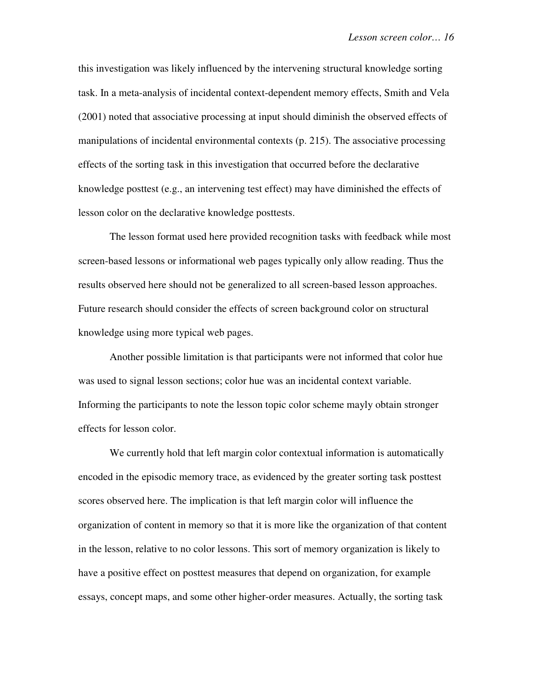this investigation was likely influenced by the intervening structural knowledge sorting task. In a meta-analysis of incidental context-dependent memory effects, Smith and Vela (2001) noted that associative processing at input should diminish the observed effects of manipulations of incidental environmental contexts (p. 215). The associative processing effects of the sorting task in this investigation that occurred before the declarative knowledge posttest (e.g., an intervening test effect) may have diminished the effects of lesson color on the declarative knowledge posttests.

The lesson format used here provided recognition tasks with feedback while most screen-based lessons or informational web pages typically only allow reading. Thus the results observed here should not be generalized to all screen-based lesson approaches. Future research should consider the effects of screen background color on structural knowledge using more typical web pages.

 Another possible limitation is that participants were not informed that color hue was used to signal lesson sections; color hue was an incidental context variable. Informing the participants to note the lesson topic color scheme mayly obtain stronger effects for lesson color.

We currently hold that left margin color contextual information is automatically encoded in the episodic memory trace, as evidenced by the greater sorting task posttest scores observed here. The implication is that left margin color will influence the organization of content in memory so that it is more like the organization of that content in the lesson, relative to no color lessons. This sort of memory organization is likely to have a positive effect on posttest measures that depend on organization, for example essays, concept maps, and some other higher-order measures. Actually, the sorting task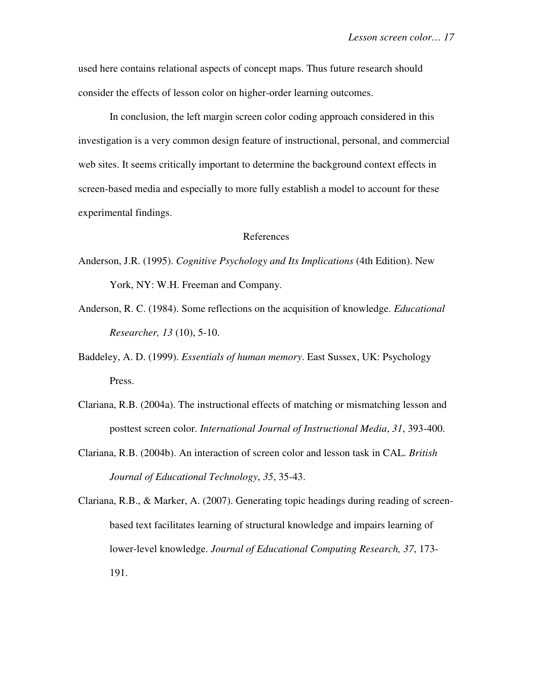used here contains relational aspects of concept maps. Thus future research should consider the effects of lesson color on higher-order learning outcomes.

In conclusion, the left margin screen color coding approach considered in this investigation is a very common design feature of instructional, personal, and commercial web sites. It seems critically important to determine the background context effects in screen-based media and especially to more fully establish a model to account for these experimental findings.

### References

- Anderson, J.R. (1995). *Cognitive Psychology and Its Implications* (4th Edition). New York, NY: W.H. Freeman and Company.
- Anderson, R. C. (1984). Some reflections on the acquisition of knowledge. *Educational Researcher, 13* (10), 5-10.
- Baddeley, A. D. (1999). *Essentials of human memory*. East Sussex, UK: Psychology Press.
- Clariana, R.B. (2004a). The instructional effects of matching or mismatching lesson and posttest screen color. *International Journal of Instructional Media*, *31*, 393-400.
- Clariana, R.B. (2004b). An interaction of screen color and lesson task in CAL. *British Journal of Educational Technology*, *35*, 35-43.

Clariana, R.B., & Marker, A. (2007). Generating topic headings during reading of screenbased text facilitates learning of structural knowledge and impairs learning of lower-level knowledge. *Journal of Educational Computing Research, 37*, 173- 191.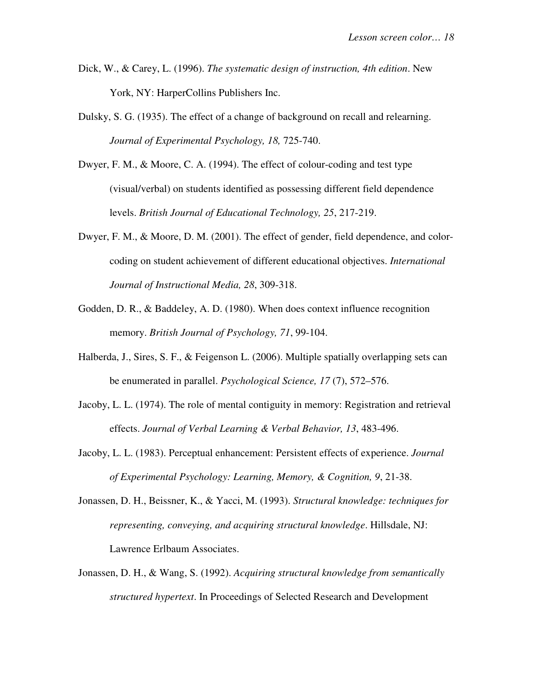- Dick, W., & Carey, L. (1996). *The systematic design of instruction, 4th edition*. New York, NY: HarperCollins Publishers Inc.
- Dulsky, S. G. (1935). The effect of a change of background on recall and relearning. *Journal of Experimental Psychology, 18,* 725-740.
- Dwyer, F. M., & Moore, C. A. (1994). The effect of colour-coding and test type (visual/verbal) on students identified as possessing different field dependence levels. *British Journal of Educational Technology, 25*, 217-219.
- Dwyer, F. M., & Moore, D. M. (2001). The effect of gender, field dependence, and colorcoding on student achievement of different educational objectives. *International Journal of Instructional Media, 28*, 309-318.
- Godden, D. R., & Baddeley, A. D. (1980). When does context influence recognition memory. *British Journal of Psychology, 71*, 99-104.
- Halberda, J., Sires, S. F., & Feigenson L. (2006). Multiple spatially overlapping sets can be enumerated in parallel. *Psychological Science, 17* (7), 572–576.
- Jacoby, L. L. (1974). The role of mental contiguity in memory: Registration and retrieval effects. *Journal of Verbal Learning & Verbal Behavior, 13*, 483-496.
- Jacoby, L. L. (1983). Perceptual enhancement: Persistent effects of experience. *Journal of Experimental Psychology: Learning, Memory, & Cognition, 9*, 21-38.
- Jonassen, D. H., Beissner, K., & Yacci, M. (1993). *Structural knowledge: techniques for representing, conveying, and acquiring structural knowledge*. Hillsdale, NJ: Lawrence Erlbaum Associates.
- Jonassen, D. H., & Wang, S. (1992). *Acquiring structural knowledge from semantically structured hypertext*. In Proceedings of Selected Research and Development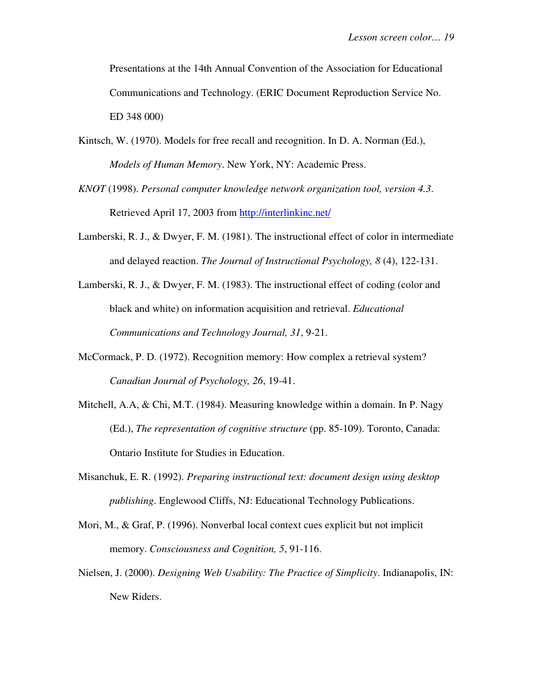Presentations at the 14th Annual Convention of the Association for Educational Communications and Technology. (ERIC Document Reproduction Service No. ED 348 000)

- Kintsch, W. (1970). Models for free recall and recognition. In D. A. Norman (Ed.), *Models of Human Memory*. New York, NY: Academic Press.
- *KNOT* (1998). *Personal computer knowledge network organization tool, version 4.3*. Retrieved April 17, 2003 from http://interlinkinc.net/
- Lamberski, R. J., & Dwyer, F. M. (1981). The instructional effect of color in intermediate and delayed reaction. *The Journal of Instructional Psychology, 8* (4), 122-131.
- Lamberski, R. J., & Dwyer, F. M. (1983). The instructional effect of coding (color and black and white) on information acquisition and retrieval. *Educational Communications and Technology Journal, 31*, 9-21.
- McCormack, P. D. (1972). Recognition memory: How complex a retrieval system? *Canadian Journal of Psychology, 26*, 19-41.
- Mitchell, A.A, & Chi, M.T. (1984). Measuring knowledge within a domain. In P. Nagy (Ed.), *The representation of cognitive structure* (pp. 85-109). Toronto, Canada: Ontario Institute for Studies in Education.
- Misanchuk, E. R. (1992). *Preparing instructional text: document design using desktop publishing*. Englewood Cliffs, NJ: Educational Technology Publications.
- Mori, M., & Graf, P. (1996). Nonverbal local context cues explicit but not implicit memory. *Consciousness and Cognition, 5*, 91-116.
- Nielsen, J. (2000). *Designing Web Usability: The Practice of Simplicity*. Indianapolis, IN: New Riders.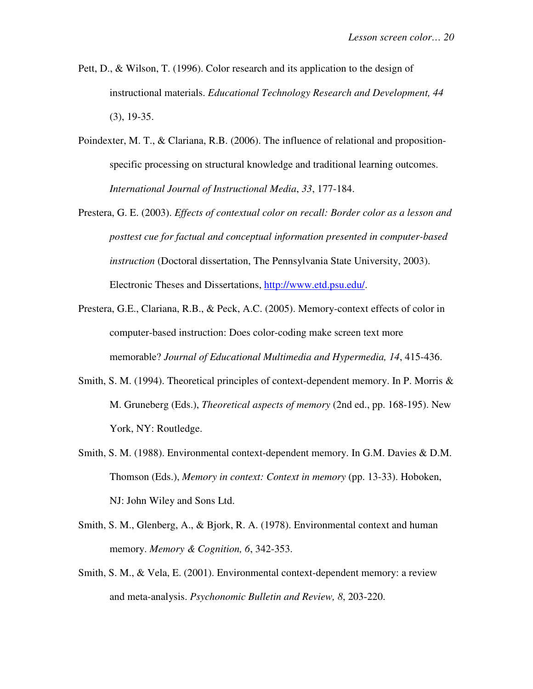- Pett, D., & Wilson, T. (1996). Color research and its application to the design of instructional materials. *Educational Technology Research and Development, 44* (3), 19-35.
- Poindexter, M. T., & Clariana, R.B. (2006). The influence of relational and propositionspecific processing on structural knowledge and traditional learning outcomes. *International Journal of Instructional Media*, *33*, 177-184.
- Prestera, G. E. (2003). *Effects of contextual color on recall: Border color as a lesson and posttest cue for factual and conceptual information presented in computer-based instruction* (Doctoral dissertation, The Pennsylvania State University, 2003). Electronic Theses and Dissertations, http://www.etd.psu.edu/.
- Prestera, G.E., Clariana, R.B., & Peck, A.C. (2005). Memory-context effects of color in computer-based instruction: Does color-coding make screen text more memorable? *Journal of Educational Multimedia and Hypermedia, 14*, 415-436.
- Smith, S. M. (1994). Theoretical principles of context-dependent memory. In P. Morris  $\&$ M. Gruneberg (Eds.), *Theoretical aspects of memory* (2nd ed., pp. 168-195). New York, NY: Routledge.
- Smith, S. M. (1988). Environmental context-dependent memory. In G.M. Davies & D.M. Thomson (Eds.), *Memory in context: Context in memory* (pp. 13-33). Hoboken, NJ: John Wiley and Sons Ltd.
- Smith, S. M., Glenberg, A., & Bjork, R. A. (1978). Environmental context and human memory. *Memory & Cognition, 6*, 342-353.
- Smith, S. M., & Vela, E. (2001). Environmental context-dependent memory: a review and meta-analysis. *Psychonomic Bulletin and Review, 8*, 203-220.